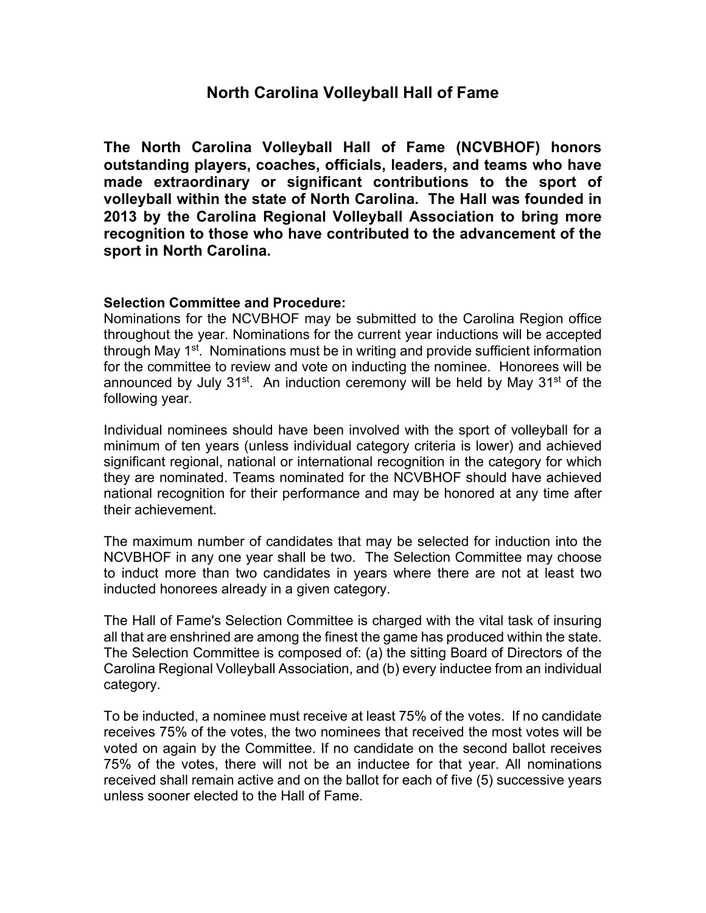## **North Carolina Volleyball Hall of Fame**

**The North Carolina Volleyball Hall of Fame (NCVBHOF) honors outstanding players, coaches, officials, leaders, and teams who have made extraordinary or significant contributions to the sport of volleyball within the state of North Carolina. The Hall was founded in 2013 by the Carolina Regional Volleyball Association to bring more recognition to those who have contributed to the advancement of the sport in North Carolina.**

## **Selection Committee and Procedure:**

Nominations for the NCVBHOF may be submitted to the Carolina Region office throughout the year. Nominations for the current year inductions will be accepted through May 1<sup>st</sup>. Nominations must be in writing and provide sufficient information for the committee to review and vote on inducting the nominee. Honorees will be announced by July  $31^{st}$ . An induction ceremony will be held by May  $31^{st}$  of the following year.

Individual nominees should have been involved with the sport of volleyball for a minimum of ten years (unless individual category criteria is lower) and achieved significant regional, national or international recognition in the category for which they are nominated. Teams nominated for the NCVBHOF should have achieved national recognition for their performance and may be honored at any time after their achievement.

The maximum number of candidates that may be selected for induction into the NCVBHOF in any one year shall be two. The Selection Committee may choose to induct more than two candidates in years where there are not at least two inducted honorees already in a given category.

The Hall of Fame's Selection Committee is charged with the vital task of insuring all that are enshrined are among the finest the game has produced within the state. The Selection Committee is composed of: (a) the sitting Board of Directors of the Carolina Regional Volleyball Association, and (b) every inductee from an individual category.

To be inducted, a nominee must receive at least 75% of the votes. If no candidate receives 75% of the votes, the two nominees that received the most votes will be voted on again by the Committee. If no candidate on the second ballot receives 75% of the votes, there will not be an inductee for that year. All nominations received shall remain active and on the ballot for each of five (5) successive years unless sooner elected to the Hall of Fame.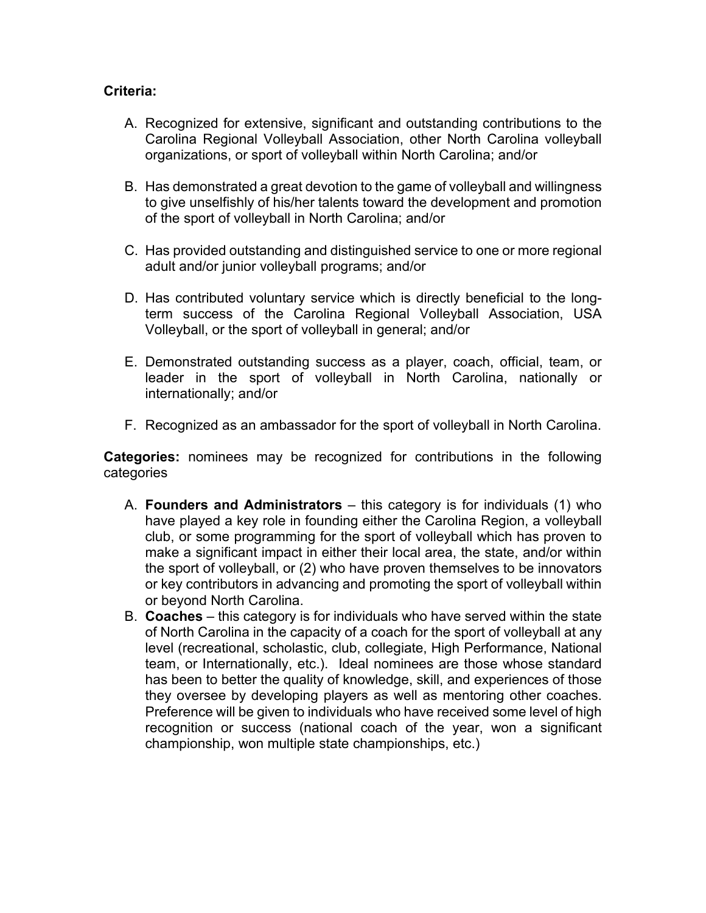## **Criteria:**

- A. Recognized for extensive, significant and outstanding contributions to the Carolina Regional Volleyball Association, other North Carolina volleyball organizations, or sport of volleyball within North Carolina; and/or
- B. Has demonstrated a great devotion to the game of volleyball and willingness to give unselfishly of his/her talents toward the development and promotion of the sport of volleyball in North Carolina; and/or
- C. Has provided outstanding and distinguished service to one or more regional adult and/or junior volleyball programs; and/or
- D. Has contributed voluntary service which is directly beneficial to the longterm success of the Carolina Regional Volleyball Association, USA Volleyball, or the sport of volleyball in general; and/or
- E. Demonstrated outstanding success as a player, coach, official, team, or leader in the sport of volleyball in North Carolina, nationally or internationally; and/or
- F. Recognized as an ambassador for the sport of volleyball in North Carolina.

**Categories:** nominees may be recognized for contributions in the following categories

- A. **Founders and Administrators** this category is for individuals (1) who have played a key role in founding either the Carolina Region, a volleyball club, or some programming for the sport of volleyball which has proven to make a significant impact in either their local area, the state, and/or within the sport of volleyball, or (2) who have proven themselves to be innovators or key contributors in advancing and promoting the sport of volleyball within or beyond North Carolina.
- B. **Coaches** this category is for individuals who have served within the state of North Carolina in the capacity of a coach for the sport of volleyball at any level (recreational, scholastic, club, collegiate, High Performance, National team, or Internationally, etc.). Ideal nominees are those whose standard has been to better the quality of knowledge, skill, and experiences of those they oversee by developing players as well as mentoring other coaches. Preference will be given to individuals who have received some level of high recognition or success (national coach of the year, won a significant championship, won multiple state championships, etc.)